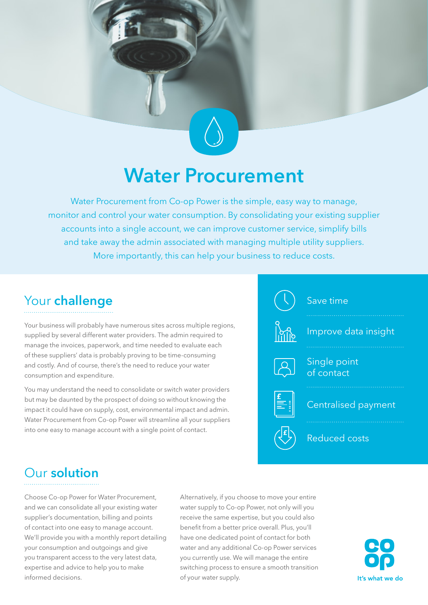## **Water Procurement**

Water Procurement from Co-op Power is the simple, easy way to manage, monitor and control your water consumption. By consolidating your existing supplier accounts into a single account, we can improve customer service, simplify bills and take away the admin associated with managing multiple utility suppliers. More importantly, this can help your business to reduce costs.

### Your **challenge**

Your business will probably have numerous sites across multiple regions, supplied by several different water providers. The admin required to manage the invoices, paperwork, and time needed to evaluate each of these suppliers' data is probably proving to be time-consuming and costly. And of course, there's the need to reduce your water consumption and expenditure.

You may understand the need to consolidate or switch water providers but may be daunted by the prospect of doing so without knowing the impact it could have on supply, cost, environmental impact and admin. Water Procurement from Co-op Power will streamline all your suppliers into one easy to manage account with a single point of contact.



### Our **solution**

Choose Co-op Power for Water Procurement, and we can consolidate all your existing water supplier's documentation, billing and points of contact into one easy to manage account. We'll provide you with a monthly report detailing your consumption and outgoings and give you transparent access to the very latest data, expertise and advice to help you to make informed decisions.

Alternatively, if you choose to move your entire water supply to Co-op Power, not only will you receive the same expertise, but you could also benefit from a better price overall. Plus, you'll have one dedicated point of contact for both water and any additional Co-op Power services you currently use. We will manage the entire switching process to ensure a smooth transition of your water supply.

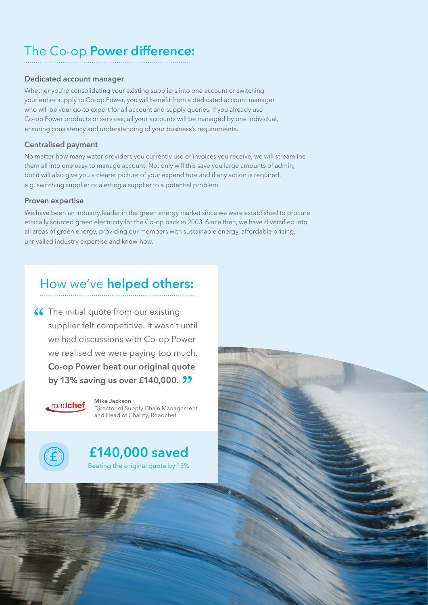## The Co-op **Power difference:**

#### **Dedicated account manager**

Whether you're consolidating your existing suppliers into one account or switching your entire supply to Co-op Power, you will benefit from a dedicated account manager who will be your go-to expert for all account and supply queries. If you already use Co-op Power products or services, all your accounts will be managed by one individual, ensuring consistency and understanding of your business's requirements.

#### **Centralised payment**

No matter how many water providers you currently use or invoices you receive, we will streamline them all into one easy to manage account. Not only will this save you large amounts of admin, but it will also give you a clearer picture of your expenditure and if any action is required, e.g. switching supplier or alerting a supplier to a potential problem.

#### **Proven expertise**

We have been an industry leader in the green energy market since we were established to procure ethically sourced green electricity for the Co-op back in 2003. Since then, we have diversified into all areas of green energy, providing our members with sustainable energy, affordable pricing, unrivalled industry expertise and know-how.

### How we've **helped others:**

66 The initial quote from our existing supplier felt competitive. It wasn't until we had discussions with Co-op Power we realised we were paying too much. **Co-op Power beat our original quote by 13% saving us over £140,000.**



**Mike Jackson** Director of Supply Chain Management and Head of Charity, Roadchef



Beating the original quote by 13% **£140,000 saved**